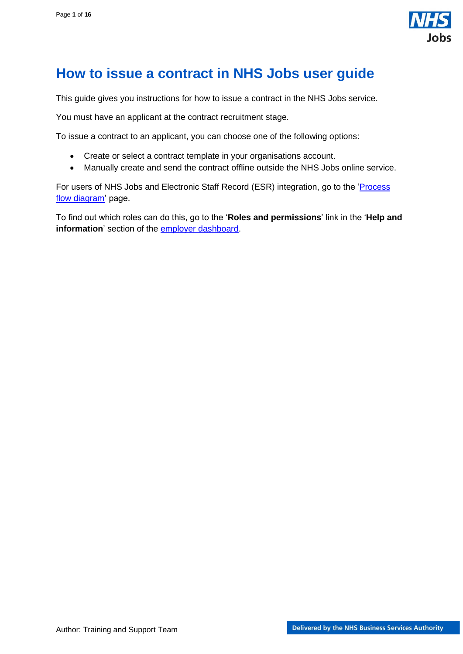

## <span id="page-0-0"></span>**How to issue a contract in NHS Jobs user guide**

This guide gives you instructions for how to issue a contract in the NHS Jobs service.

You must have an applicant at the contract recruitment stage.

To issue a contract to an applicant, you can choose one of the following options:

- Create or select a contract template in your organisations account.
- Manually create and send the contract offline outside the NHS Jobs online service.

For users of NHS Jobs and Electronic Staff Record (ESR) integration, go to the ['Process](#page-2-0)  [flow diagram'](#page-2-0) page.

To find out which roles can do this, go to the '**Roles and permissions**' link in the '**Help and information**' section of the [employer dashboard.](https://beta.jobs.nhs.uk/home)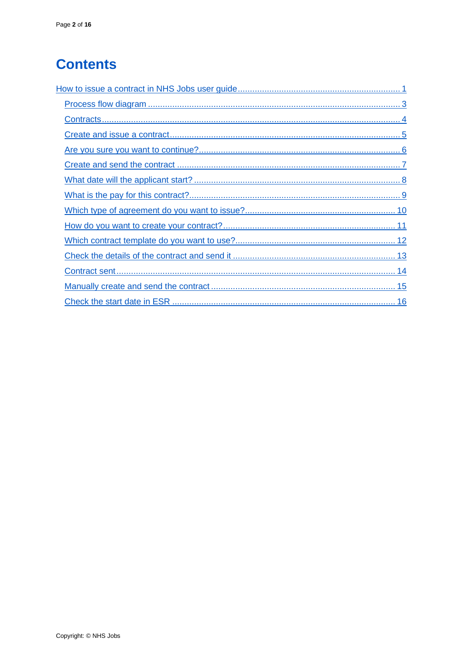# **Contents**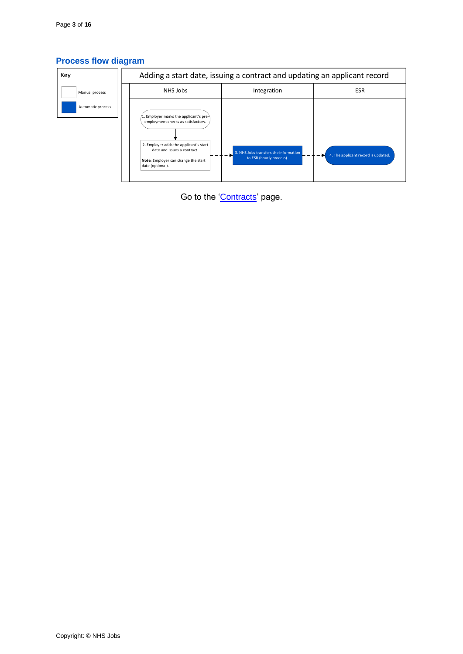## <span id="page-2-0"></span>**Process flow diagram**



Go to the ['Contracts'](#page-3-0) page.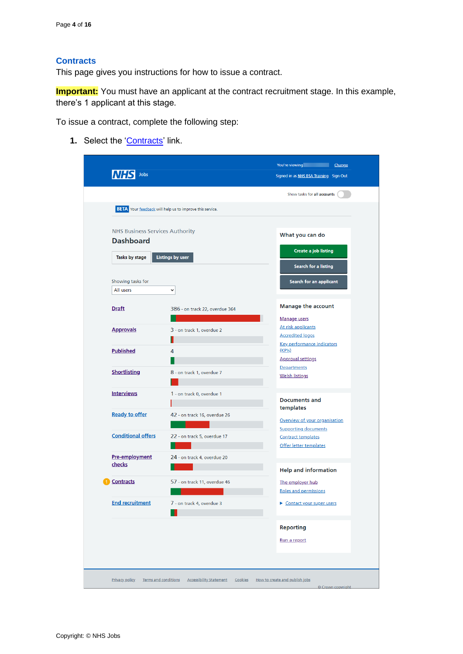#### <span id="page-3-0"></span>**Contracts**

This page gives you instructions for how to issue a contract.

**Important:** You must have an applicant at the contract recruitment stage. In this example, there's 1 applicant at this stage.

To issue a contract, complete the following step:

1. Select the ['Contracts'](#page-4-0) link.

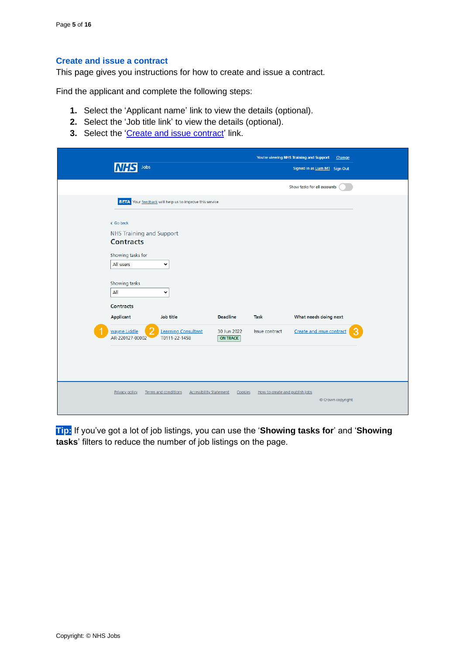#### <span id="page-4-0"></span>**Create and issue a contract**

This page gives you instructions for how to create and issue a contract.

Find the applicant and complete the following steps:

- **1.** Select the 'Applicant name' link to view the details (optional).
- **2.** Select the 'Job title link' to view the details (optional).
- **3.** Select the ['Create and issue contract'](#page-5-0) link.

|                                                                 |                                           |                                           | You're viewing NHS Training and Support Change |  |
|-----------------------------------------------------------------|-------------------------------------------|-------------------------------------------|------------------------------------------------|--|
| Jobs                                                            |                                           |                                           | Signed in as Liam M1 Sign Out                  |  |
|                                                                 |                                           |                                           | Show tasks for all accounts                    |  |
| <b>BETA</b> Your feedback will help us to improve this service. |                                           |                                           |                                                |  |
| < Go back                                                       |                                           |                                           |                                                |  |
| <b>NHS Training and Support</b>                                 |                                           |                                           |                                                |  |
| <b>Contracts</b>                                                |                                           |                                           |                                                |  |
| Showing tasks for                                               |                                           |                                           |                                                |  |
| All users<br>$\checkmark$                                       |                                           |                                           |                                                |  |
|                                                                 |                                           |                                           |                                                |  |
| Showing tasks                                                   |                                           |                                           |                                                |  |
| All<br>$\checkmark$                                             |                                           |                                           |                                                |  |
| <b>Contracts</b>                                                |                                           |                                           |                                                |  |
| Applicant<br>Job title                                          | <b>Deadline</b>                           | Task                                      | What needs doing next                          |  |
| wayne Liddle                                                    | <b>Learning Consultant</b><br>30 Jun 2022 | <b>Issue contract</b>                     | Create and issue contract                      |  |
| AR-220127-00002<br>T0111-22-1458                                | <b>ON TRACK</b>                           |                                           |                                                |  |
|                                                                 |                                           |                                           |                                                |  |
|                                                                 |                                           |                                           |                                                |  |
|                                                                 |                                           |                                           |                                                |  |
|                                                                 |                                           |                                           |                                                |  |
| <b>Privacy policy</b><br>Terms and conditions                   | <b>Accessibility Statement</b>            | How to create and publish jobs<br>Cookies | © Crown copyright                              |  |
|                                                                 |                                           |                                           |                                                |  |

**Tip:** If you've got a lot of job listings, you can use the '**Showing tasks for**' and '**Showing tasks**' filters to reduce the number of job listings on the page.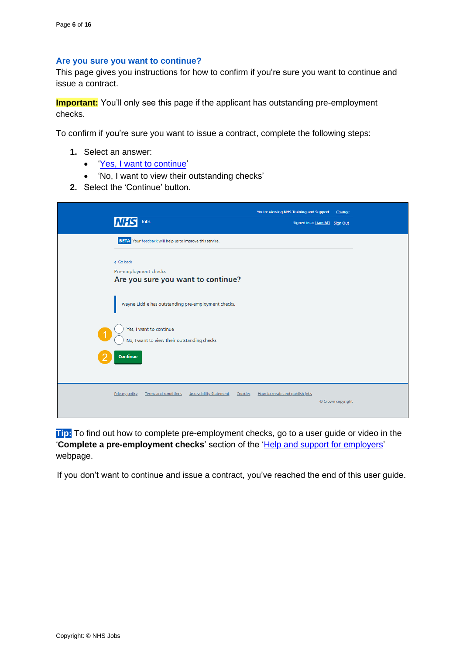#### <span id="page-5-0"></span>**Are you sure you want to continue?**

This page gives you instructions for how to confirm if you're sure you want to continue and issue a contract.

**Important:** You'll only see this page if the applicant has outstanding pre-employment checks.

To confirm if you're sure you want to issue a contract, complete the following steps:

- **1.** Select an answer:
	- ['Yes, I want to continue'](#page-6-0)
	- 'No, I want to view their outstanding checks'
- **2.** Select the 'Continue' button.

| Jobs                                                                                       | You're viewing NHS Training and Support<br>Signed in as Liam M1 Sign Out | Change            |
|--------------------------------------------------------------------------------------------|--------------------------------------------------------------------------|-------------------|
| BETA Your feedback will help us to improve this service.                                   |                                                                          |                   |
| < Go back<br>Pre-employment checks<br>Are you sure you want to continue?                   |                                                                          |                   |
| wayne Liddle has outstanding pre-employment checks.                                        |                                                                          |                   |
| Yes, I want to continue<br>1<br>No, I want to view their outstanding checks                |                                                                          |                   |
| Continue                                                                                   |                                                                          |                   |
| <b>Privacy policy</b><br>Terms and conditions<br><b>Accessibility Statement</b><br>Cookies | How to create and publish jobs                                           | © Crown copyright |

**Tip:** To find out how to complete pre-employment checks, go to a user guide or video in the '**Complete a pre-employment checks'** section of the ['Help and support for employers'](https://www.nhsbsa.nhs.uk/new-nhs-jobs-service/help-and-support-employers) webpage.

If you don't want to continue and issue a contract, you've reached the end of this user guide.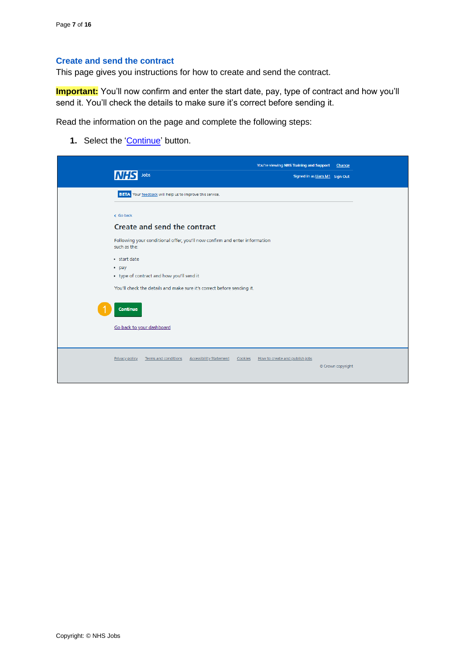## <span id="page-6-0"></span>**Create and send the contract**

This page gives you instructions for how to create and send the contract.

**Important:** You'll now confirm and enter the start date, pay, type of contract and how you'll send it. You'll check the details to make sure it's correct before sending it.

Read the information on the page and complete the following steps:

1. Select the ['Continue'](#page-7-0) button.

| Jobs<br>Signed in as Liam M1 Sign Out<br>BETA Your feedback will help us to improve this service.<br>< Go back<br>Create and send the contract<br>Following your conditional offer, you'll now confirm and enter information<br>such as the:<br>· start date<br>• pay<br>• type of contract and how you'll send it<br>You'll check the details and make sure it's correct before sending it.<br>Continue<br>Go back to your dashboard |  | You're viewing NHS Training and Support | Change |
|---------------------------------------------------------------------------------------------------------------------------------------------------------------------------------------------------------------------------------------------------------------------------------------------------------------------------------------------------------------------------------------------------------------------------------------|--|-----------------------------------------|--------|
|                                                                                                                                                                                                                                                                                                                                                                                                                                       |  |                                         |        |
|                                                                                                                                                                                                                                                                                                                                                                                                                                       |  |                                         |        |
|                                                                                                                                                                                                                                                                                                                                                                                                                                       |  |                                         |        |
|                                                                                                                                                                                                                                                                                                                                                                                                                                       |  |                                         |        |
|                                                                                                                                                                                                                                                                                                                                                                                                                                       |  |                                         |        |
|                                                                                                                                                                                                                                                                                                                                                                                                                                       |  |                                         |        |
|                                                                                                                                                                                                                                                                                                                                                                                                                                       |  |                                         |        |
|                                                                                                                                                                                                                                                                                                                                                                                                                                       |  |                                         |        |
|                                                                                                                                                                                                                                                                                                                                                                                                                                       |  |                                         |        |
|                                                                                                                                                                                                                                                                                                                                                                                                                                       |  |                                         |        |
|                                                                                                                                                                                                                                                                                                                                                                                                                                       |  |                                         |        |
|                                                                                                                                                                                                                                                                                                                                                                                                                                       |  |                                         |        |
|                                                                                                                                                                                                                                                                                                                                                                                                                                       |  |                                         |        |
|                                                                                                                                                                                                                                                                                                                                                                                                                                       |  |                                         |        |
| Privacy policy<br><b>Terms and conditions</b><br><b>Accessibility Statement</b><br>Cookies<br>How to create and publish jobs                                                                                                                                                                                                                                                                                                          |  |                                         |        |
| © Crown copyright                                                                                                                                                                                                                                                                                                                                                                                                                     |  |                                         |        |
|                                                                                                                                                                                                                                                                                                                                                                                                                                       |  |                                         |        |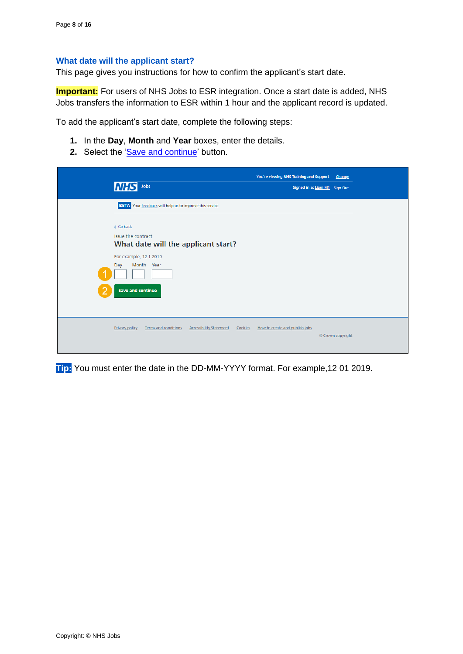#### <span id="page-7-0"></span>**What date will the applicant start?**

This page gives you instructions for how to confirm the applicant's start date.

**Important:** For users of NHS Jobs to ESR integration. Once a start date is added, NHS Jobs transfers the information to ESR within 1 hour and the applicant record is updated.

To add the applicant's start date, complete the following steps:

- **1.** In the **Day**, **Month** and **Year** boxes, enter the details.
- 2. Select the ['Save and continue'](#page-8-0) button.

| <b>INHS</b><br>Jobs                                                                                                                       | You're viewing NHS Training and Support<br>Change<br>Signed in as Liam M1 Sign Out |
|-------------------------------------------------------------------------------------------------------------------------------------------|------------------------------------------------------------------------------------|
| <b>BETA</b> Your feedback will help us to improve this service.<br>< Go back<br>Issue the contract<br>What date will the applicant start? |                                                                                    |
| For example, 12 1 2019<br>Month Year<br>Day<br><b>Save and continue</b>                                                                   |                                                                                    |
| Privacy policy<br>Terms and conditions<br><b>Accessibility Statement</b><br>Cookies                                                       | How to create and publish jobs<br>© Crown copyright                                |

**Tip:** You must enter the date in the DD-MM-YYYY format. For example,12 01 2019.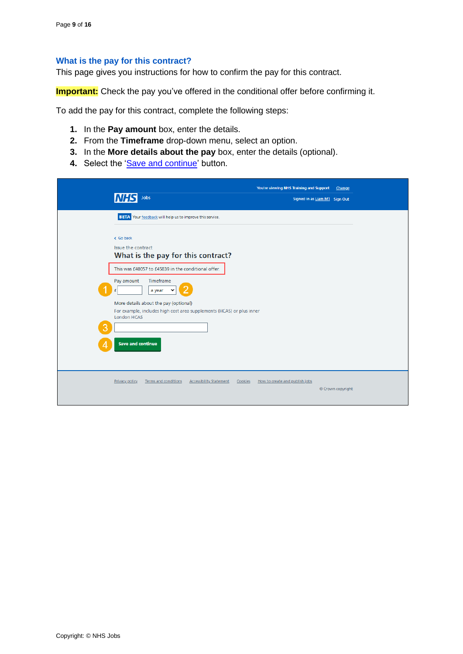#### <span id="page-8-0"></span>**What is the pay for this contract?**

This page gives you instructions for how to confirm the pay for this contract.

**Important:** Check the pay you've offered in the conditional offer before confirming it.

To add the pay for this contract, complete the following steps:

- **1.** In the **Pay amount** box, enter the details.
- **2.** From the **Timeframe** drop-down menu, select an option.
- **3.** In the **More details about the pay** box, enter the details (optional).
- 4. Select the ['Save and continue'](#page-9-0) button.

|   | Jobs                                                                                                                                 | You're viewing NHS Training and Support<br>Signed in as Liam M1 Sign Out | Change            |
|---|--------------------------------------------------------------------------------------------------------------------------------------|--------------------------------------------------------------------------|-------------------|
|   | BETA Your feedback will help us to improve this service.                                                                             |                                                                          |                   |
|   | < Go back<br>Issue the contract<br>What is the pay for this contract?                                                                |                                                                          |                   |
|   | This was £40057 to £45839 in the conditional offer.                                                                                  |                                                                          |                   |
|   | Timeframe<br>Pay amount<br>a year<br>£                                                                                               |                                                                          |                   |
| 3 | More details about the pay (optional)<br>For example, includes high cost area supplements (HCAS) or plus inner<br><b>London HCAS</b> |                                                                          |                   |
|   | <b>Save and continue</b>                                                                                                             |                                                                          |                   |
|   | Terms and conditions<br><b>Accessibility Statement</b><br>Privacy policy<br>Cookies                                                  | How to create and publish jobs                                           | © Crown copyright |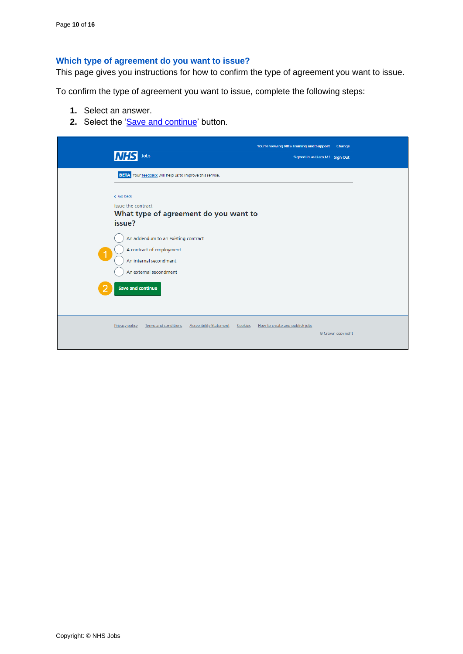## <span id="page-9-0"></span>**Which type of agreement do you want to issue?**

This page gives you instructions for how to confirm the type of agreement you want to issue.

To confirm the type of agreement you want to issue, complete the following steps:

- **1.** Select an answer.
- **2.** Select the ['Save and continue'](#page-10-0) button.

| <b>NHS</b><br>Jobs                                                                                                                              | You're viewing NHS Training and Support<br>Signed in as Liam M1 Sign Out | Change            |
|-------------------------------------------------------------------------------------------------------------------------------------------------|--------------------------------------------------------------------------|-------------------|
| <b>BETA</b> Your feedback will help us to improve this service.<br>< Go back<br>Issue the contract<br>What type of agreement do you want to     |                                                                          |                   |
| issue?<br>An addendum to an existing contract<br>A contract of employment<br>$\overline{1}$<br>An internal secondment<br>An external secondment |                                                                          |                   |
| <b>Save and continue</b><br>Privacy policy<br>Terms and conditions<br><b>Accessibility Statement</b><br>Cookies                                 | How to create and publish jobs                                           |                   |
|                                                                                                                                                 |                                                                          | © Crown copyright |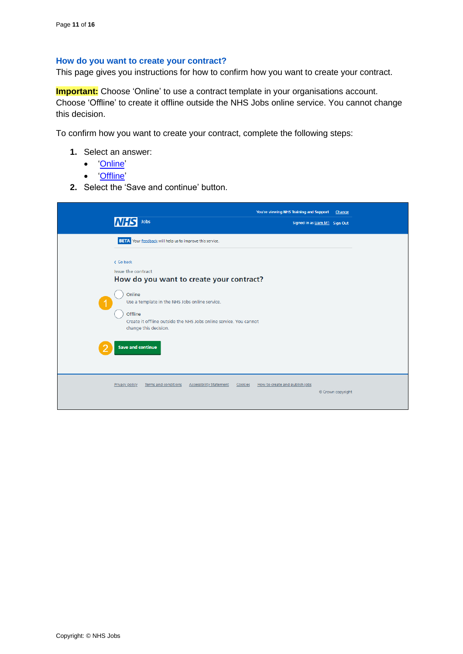#### <span id="page-10-0"></span>**How do you want to create your contract?**

This page gives you instructions for how to confirm how you want to create your contract.

**Important:** Choose 'Online' to use a contract template in your organisations account. Choose 'Offline' to create it offline outside the NHS Jobs online service. You cannot change this decision.

To confirm how you want to create your contract, complete the following steps:

- **1.** Select an answer:
	- ['Online'](#page-11-0)
	- ['Offline'](#page-14-0)
- **2.** Select the 'Save and continue' button.

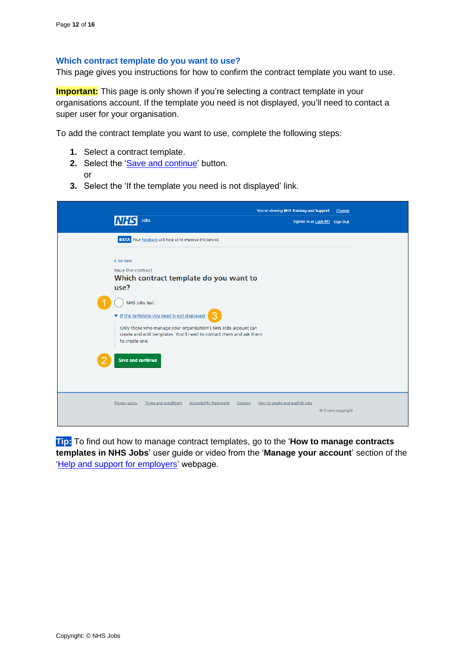#### <span id="page-11-0"></span>**Which contract template do you want to use?**

This page gives you instructions for how to confirm the contract template you want to use.

**Important:** This page is only shown if you're selecting a contract template in your organisations account. If the template you need is not displayed, you'll need to contact a super user for your organisation.

To add the contract template you want to use, complete the following steps:

- **1.** Select a contract template.
- **2.** Select the ['Save and continue'](#page-12-0) button. or
- **3.** Select the 'If the template you need is not displayed' link.

| Jobs<br><b>INHS</b>                                                                                                                                                                                                                                 | You're viewing NHS Training and Support<br>Change<br>Signed in as Liam M1 Sign Out |
|-----------------------------------------------------------------------------------------------------------------------------------------------------------------------------------------------------------------------------------------------------|------------------------------------------------------------------------------------|
| BETA Your feedback will help us to improve this service.                                                                                                                                                                                            |                                                                                    |
| < Go back<br>Issue the contract<br>Which contract template do you want to<br>use?                                                                                                                                                                   |                                                                                    |
| NHS Jobs test<br>v If the template you need is not displayed<br>Only those who manage your organisation's NHS Jobs account can<br>create and edit templates. You'll need to contact them and ask them<br>to create one.<br><b>Save and continue</b> |                                                                                    |
| Privacy policy<br><b>Terms and conditions</b><br><b>Accessibility Statement</b>                                                                                                                                                                     | Cookies<br>How to create and publish jobs<br>© Crown copyright                     |

**Tip:** To find out how to manage contract templates, go to the '**How to manage contracts templates in NHS Jobs**' user guide or video from the '**Manage your account**' section of the ['Help and support for employers'](https://www.nhsbsa.nhs.uk/new-nhs-jobs-service/help-and-support-employers) webpage.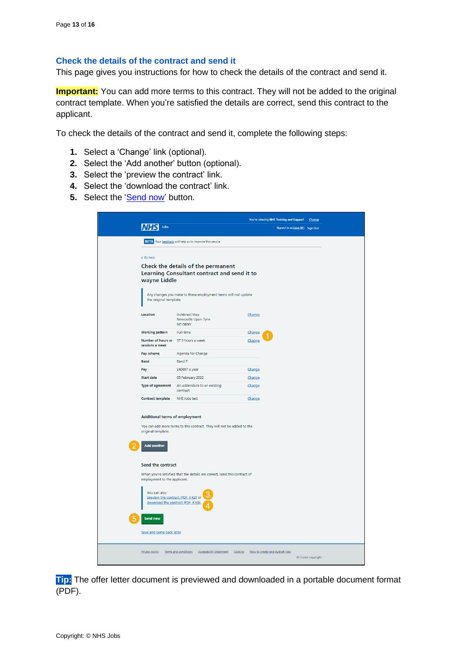#### <span id="page-12-0"></span>**Check the details of the contract and send it**

This page gives you instructions for how to check the details of the contract and send it.

**Important:** You can add more terms to this contract. They will not be added to the original contract template. When you're satisfied the details are correct, send this contract to the applicant.

To check the details of the contract and send it, complete the following steps:

- **1.** Select a 'Change' link (optional).
- **2.** Select the 'Add another' button (optional).
- **3.** Select the 'preview the contract' link.
- **4.** Select the 'download the contract' link.
- **5.** Select the '**Send now'** button.

|                                                                                                                                               |                                                                           |        | You're viewing NHS Training and Support | Change          |  |
|-----------------------------------------------------------------------------------------------------------------------------------------------|---------------------------------------------------------------------------|--------|-----------------------------------------|-----------------|--|
| Jobs                                                                                                                                          |                                                                           |        | Signed in as Liam M1 Sign Out           |                 |  |
|                                                                                                                                               | BETA Your feedback will help us to improve this service.                  |        |                                         |                 |  |
|                                                                                                                                               |                                                                           |        |                                         |                 |  |
| < Go back                                                                                                                                     |                                                                           |        |                                         |                 |  |
| Check the details of the permanent                                                                                                            |                                                                           |        |                                         |                 |  |
| Learning Consultant contract and send it to<br>wayne Liddle                                                                                   |                                                                           |        |                                         |                 |  |
| Any changes you make to these employment terms will not update<br>the original template.                                                      |                                                                           |        |                                         |                 |  |
| Location                                                                                                                                      | Goldcrest Way<br>Newcastle Upon Tyne<br>NE158NY                           | Change |                                         |                 |  |
| <b>Working pattern</b>                                                                                                                        | <b>Full-time</b>                                                          | Change |                                         |                 |  |
| Number of hours or 37.5 hours a week<br>sessions a week                                                                                       |                                                                           | Change |                                         |                 |  |
| Pay scheme                                                                                                                                    | Agenda for Change                                                         |        |                                         |                 |  |
| <b>Band</b>                                                                                                                                   | Band 7                                                                    |        |                                         |                 |  |
| Pay                                                                                                                                           | £40057 a year                                                             | Change |                                         |                 |  |
| <b>Start date</b>                                                                                                                             | 05 February 2022<br>An addendum to an existing                            | Change |                                         |                 |  |
| Type of agreement                                                                                                                             | contract                                                                  | Change |                                         |                 |  |
| Contract template                                                                                                                             | NHS Jobs test                                                             | Change |                                         |                 |  |
| Additional terms of employment<br>You can add more terms to this contract. They will not be added to the<br>original template.<br>Add another |                                                                           |        |                                         |                 |  |
| Send the contract                                                                                                                             |                                                                           |        |                                         |                 |  |
| employment to the applicant.                                                                                                                  | When you're satisfied that the details are correct, send this contract of |        |                                         |                 |  |
| You can also:<br>preview the contract (PDF, 4 KB) or<br>download the contract (PDF, 4 KB).                                                    |                                                                           |        |                                         |                 |  |
| Send now                                                                                                                                      |                                                                           |        |                                         |                 |  |
| Save and come back later                                                                                                                      |                                                                           |        |                                         |                 |  |
|                                                                                                                                               | Privacy policy Terms and conditions Accessibility Statement Cookies       |        | How to create and publish jobs          | Crown copyright |  |

**Tip:** The offer letter document is previewed and downloaded in a portable document format (PDF).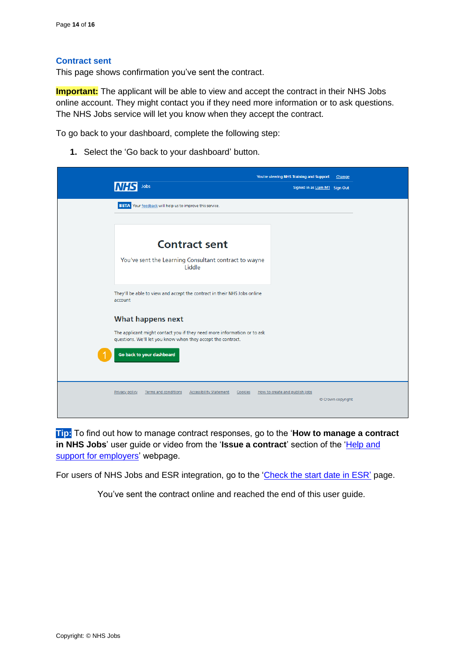#### <span id="page-13-0"></span>**Contract sent**

This page shows confirmation you've sent the contract.

**Important:** The applicant will be able to view and accept the contract in their NHS Jobs online account. They might contact you if they need more information or to ask questions. The NHS Jobs service will let you know when they accept the contract.

To go back to your dashboard, complete the following step:

**1.** Select the 'Go back to your dashboard' button.

|                                                                                                                                         | You're viewing NHS Training and Support<br>Change   |
|-----------------------------------------------------------------------------------------------------------------------------------------|-----------------------------------------------------|
| Jobs                                                                                                                                    | Signed in as Liam M1 Sign Out                       |
| <b>BETA</b> Your feedback will help us to improve this service.                                                                         |                                                     |
|                                                                                                                                         |                                                     |
| <b>Contract sent</b>                                                                                                                    |                                                     |
| You've sent the Learning Consultant contract to wayne<br>Liddle                                                                         |                                                     |
| They'll be able to view and accept the contract in their NHS Jobs online<br>account                                                     |                                                     |
| What happens next                                                                                                                       |                                                     |
| The applicant might contact you if they need more information or to ask<br>questions. We'll let you know when they accept the contract. |                                                     |
| Go back to your dashboard                                                                                                               |                                                     |
| Privacy policy<br>Terms and conditions<br><b>Accessibility Statement</b><br>Cookies                                                     | How to create and publish jobs<br>© Crown copyright |

**Tip:** To find out how to manage contract responses, go to the '**How to manage a contract**  in NHS Jobs' user guide or video from the 'Issue a contract' section of the 'Help and [support for employers'](https://www.nhsbsa.nhs.uk/new-nhs-jobs-service/help-and-support-employers) webpage.

For users of NHS Jobs and ESR integration, go to the ['Check the start date in ESR'](#page-15-0) page.

You've sent the contract online and reached the end of this user guide.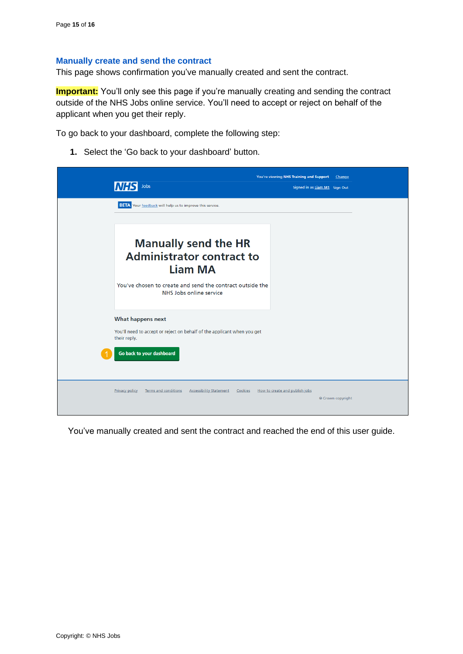#### <span id="page-14-0"></span>**Manually create and send the contract**

This page shows confirmation you've manually created and sent the contract.

**Important:** You'll only see this page if you're manually creating and sending the contract outside of the NHS Jobs online service. You'll need to accept or reject on behalf of the applicant when you get their reply.

To go back to your dashboard, complete the following step:

**1.** Select the 'Go back to your dashboard' button.

|                                                                                                   | You're viewing NHS Training and Support<br>Change   |
|---------------------------------------------------------------------------------------------------|-----------------------------------------------------|
| Jobs                                                                                              | Signed in as Liam M1 Sign Out                       |
| <b>BETA</b> Your feedback will help us to improve this service.                                   |                                                     |
|                                                                                                   |                                                     |
| <b>Manually send the HR</b><br><b>Administrator contract to</b><br><b>Liam MA</b>                 |                                                     |
| You've chosen to create and send the contract outside the<br>NHS Jobs online service              |                                                     |
| What happens next                                                                                 |                                                     |
| You'll need to accept or reject on behalf of the applicant when you get<br>their reply.           |                                                     |
| Go back to your dashboard                                                                         |                                                     |
| <b>Terms and conditions</b><br><b>Accessibility Statement</b><br>Cookies<br><b>Privacy policy</b> | How to create and publish jobs<br>© Crown copyright |

You've manually created and sent the contract and reached the end of this user guide.